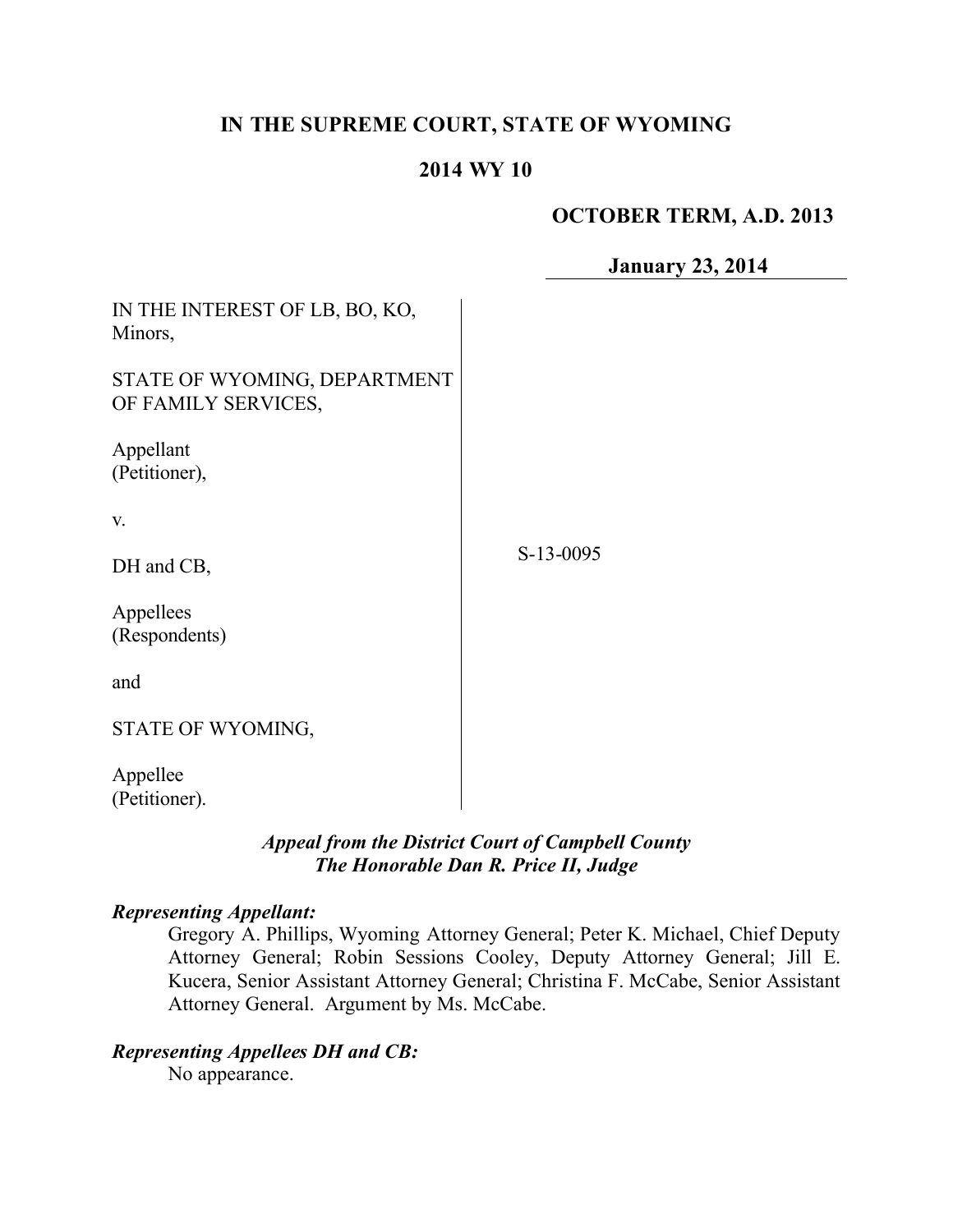# **IN THE SUPREME COURT, STATE OF WYOMING**

## **2014 WY 10**

## **OCTOBER TERM, A.D. 2013**

**January 23, 2014**

| IN THE INTEREST OF LB, BO, KO,<br>Minors,           |           |
|-----------------------------------------------------|-----------|
| STATE OF WYOMING, DEPARTMENT<br>OF FAMILY SERVICES, |           |
| Appellant<br>(Petitioner),                          |           |
| V.                                                  |           |
| DH and CB,                                          | S-13-0095 |
| Appellees<br>(Respondents)                          |           |
| and                                                 |           |
| STATE OF WYOMING,                                   |           |
| Appellee<br>(Petitioner).                           |           |

# *Appeal from the District Court of Campbell County The Honorable Dan R. Price II, Judge*

## *Representing Appellant:*

Gregory A. Phillips, Wyoming Attorney General; Peter K. Michael, Chief Deputy Attorney General; Robin Sessions Cooley, Deputy Attorney General; Jill E. Kucera, Senior Assistant Attorney General; Christina F. McCabe, Senior Assistant Attorney General. Argument by Ms. McCabe.

## *Representing Appellees DH and CB:*

No appearance.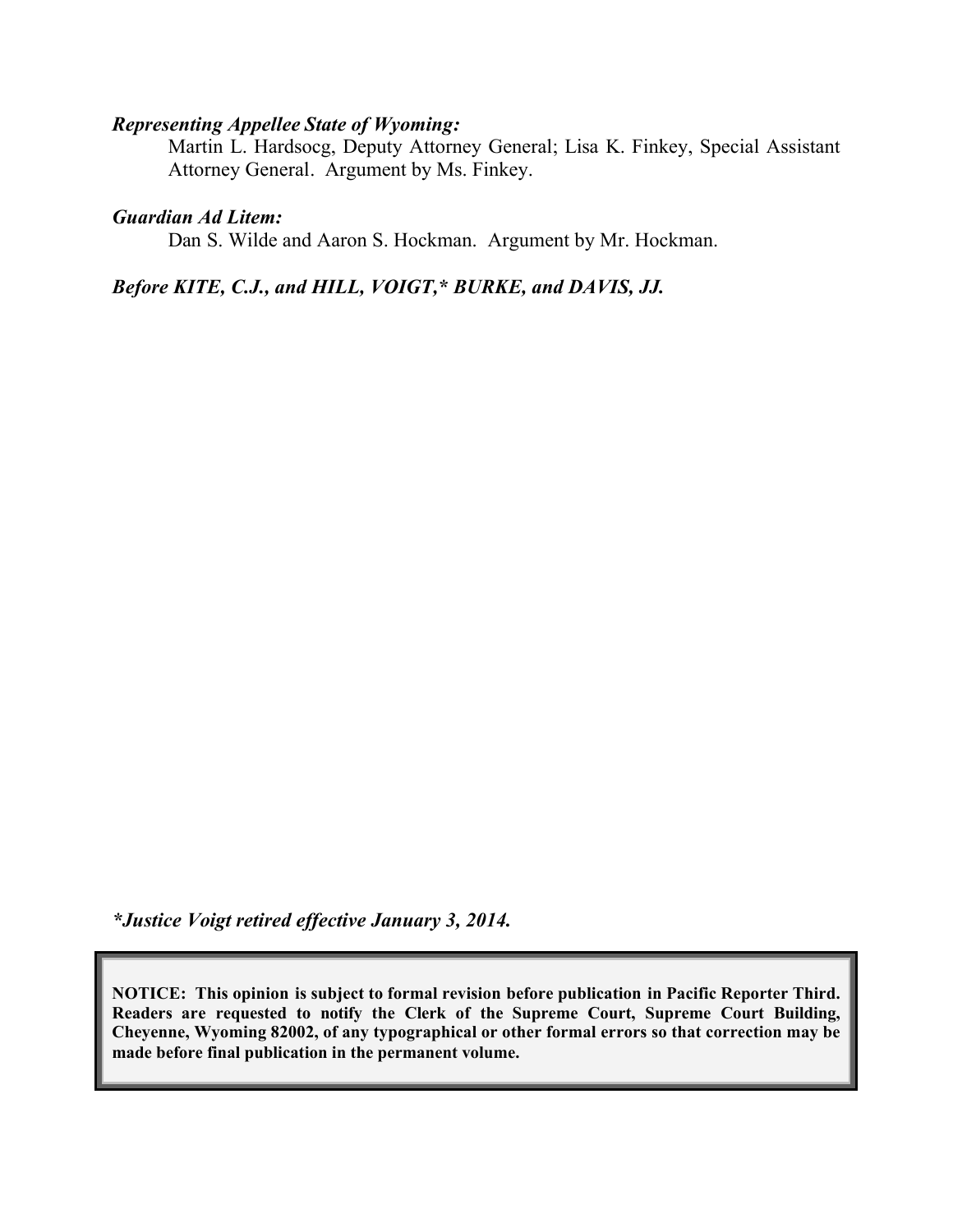#### *Representing Appellee State of Wyoming:*

Martin L. Hardsocg, Deputy Attorney General; Lisa K. Finkey, Special Assistant Attorney General. Argument by Ms. Finkey.

#### *Guardian Ad Litem:*

Dan S. Wilde and Aaron S. Hockman. Argument by Mr. Hockman.

## *Before KITE, C.J., and HILL, VOIGT,\* BURKE, and DAVIS, JJ.*

*\*Justice Voigt retired effective January 3, 2014.*

**NOTICE: This opinion is subject to formal revision before publication in Pacific Reporter Third. Readers are requested to notify the Clerk of the Supreme Court, Supreme Court Building, Cheyenne, Wyoming 82002, of any typographical or other formal errors so that correction may be made before final publication in the permanent volume.**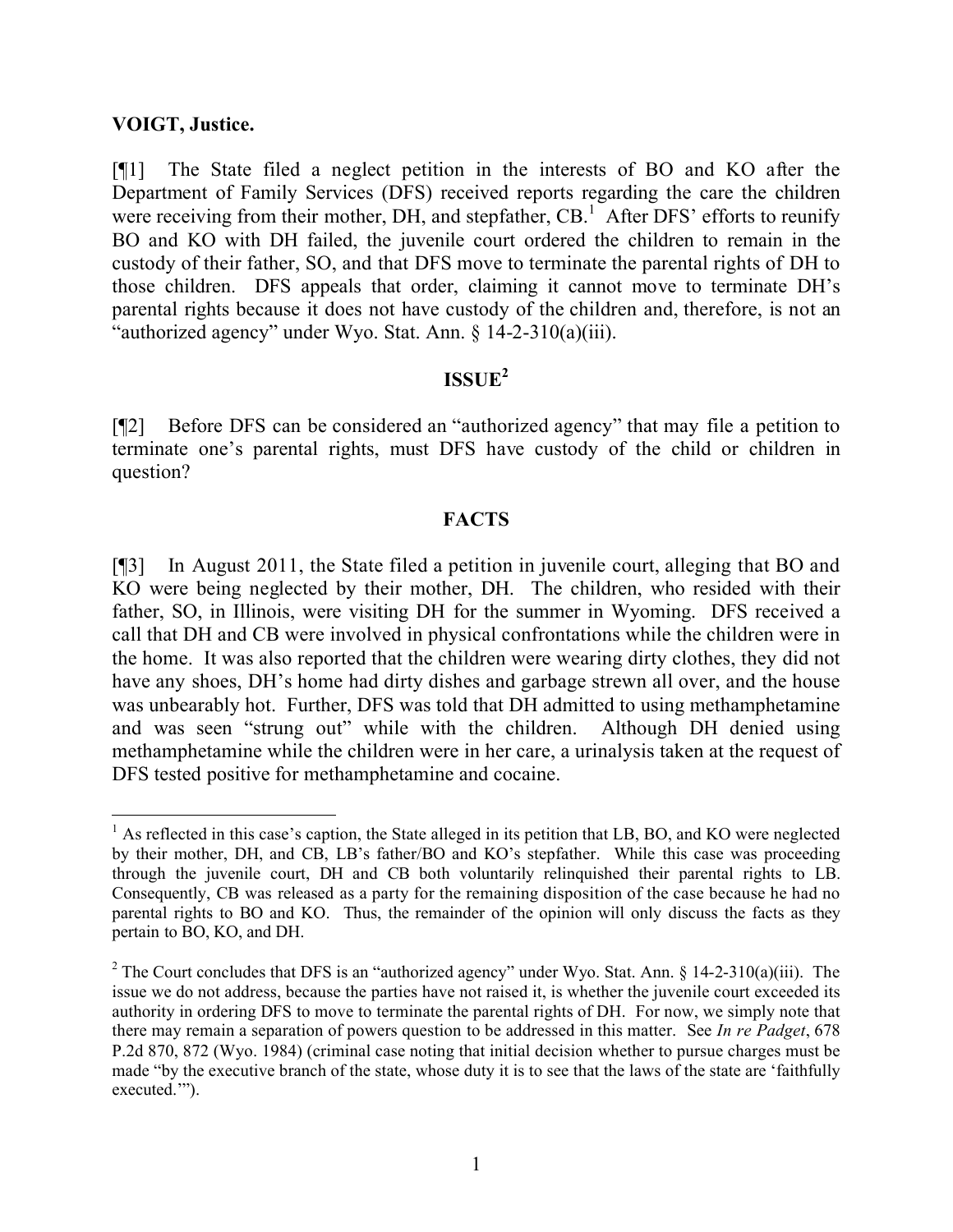#### **VOIGT, Justice.**

[¶1] The State filed a neglect petition in the interests of BO and KO after the Department of Family Services (DFS) received reports regarding the care the children were receiving from their mother, DH, and stepfather, CB.<sup>1</sup> After DFS' efforts to reunify BO and KO with DH failed, the juvenile court ordered the children to remain in the custody of their father, SO, and that DFS move to terminate the parental rights of DH to those children. DFS appeals that order, claiming it cannot move to terminate DH's parental rights because it does not have custody of the children and, therefore, is not an "authorized agency" under Wyo. Stat. Ann. § 14-2-310(a)(iii).

# **ISSUE<sup>2</sup>**

[¶2] Before DFS can be considered an "authorized agency" that may file a petition to terminate one's parental rights, must DFS have custody of the child or children in question?

## **FACTS**

[¶3] In August 2011, the State filed a petition in juvenile court, alleging that BO and KO were being neglected by their mother, DH. The children, who resided with their father, SO, in Illinois, were visiting DH for the summer in Wyoming. DFS received a call that DH and CB were involved in physical confrontations while the children were in the home. It was also reported that the children were wearing dirty clothes, they did not have any shoes, DH's home had dirty dishes and garbage strewn all over, and the house was unbearably hot. Further, DFS was told that DH admitted to using methamphetamine and was seen "strung out" while with the children. Although DH denied using methamphetamine while the children were in her care, a urinalysis taken at the request of DFS tested positive for methamphetamine and cocaine.

<sup>&</sup>lt;sup>1</sup> As reflected in this case's caption, the State alleged in its petition that LB, BO, and KO were neglected by their mother, DH, and CB, LB's father/BO and KO's stepfather. While this case was proceeding through the juvenile court, DH and CB both voluntarily relinquished their parental rights to LB. Consequently, CB was released as a party for the remaining disposition of the case because he had no parental rights to BO and KO. Thus, the remainder of the opinion will only discuss the facts as they pertain to BO, KO, and DH.

<sup>&</sup>lt;sup>2</sup> The Court concludes that DFS is an "authorized agency" under Wyo. Stat. Ann. § 14-2-310(a)(iii). The issue we do not address, because the parties have not raised it, is whether the juvenile court exceeded its authority in ordering DFS to move to terminate the parental rights of DH. For now, we simply note that there may remain a separation of powers question to be addressed in this matter. See *In re Padget*, 678 P.2d 870, 872 (Wyo. 1984) (criminal case noting that initial decision whether to pursue charges must be made "by the executive branch of the state, whose duty it is to see that the laws of the state are 'faithfully executed.'").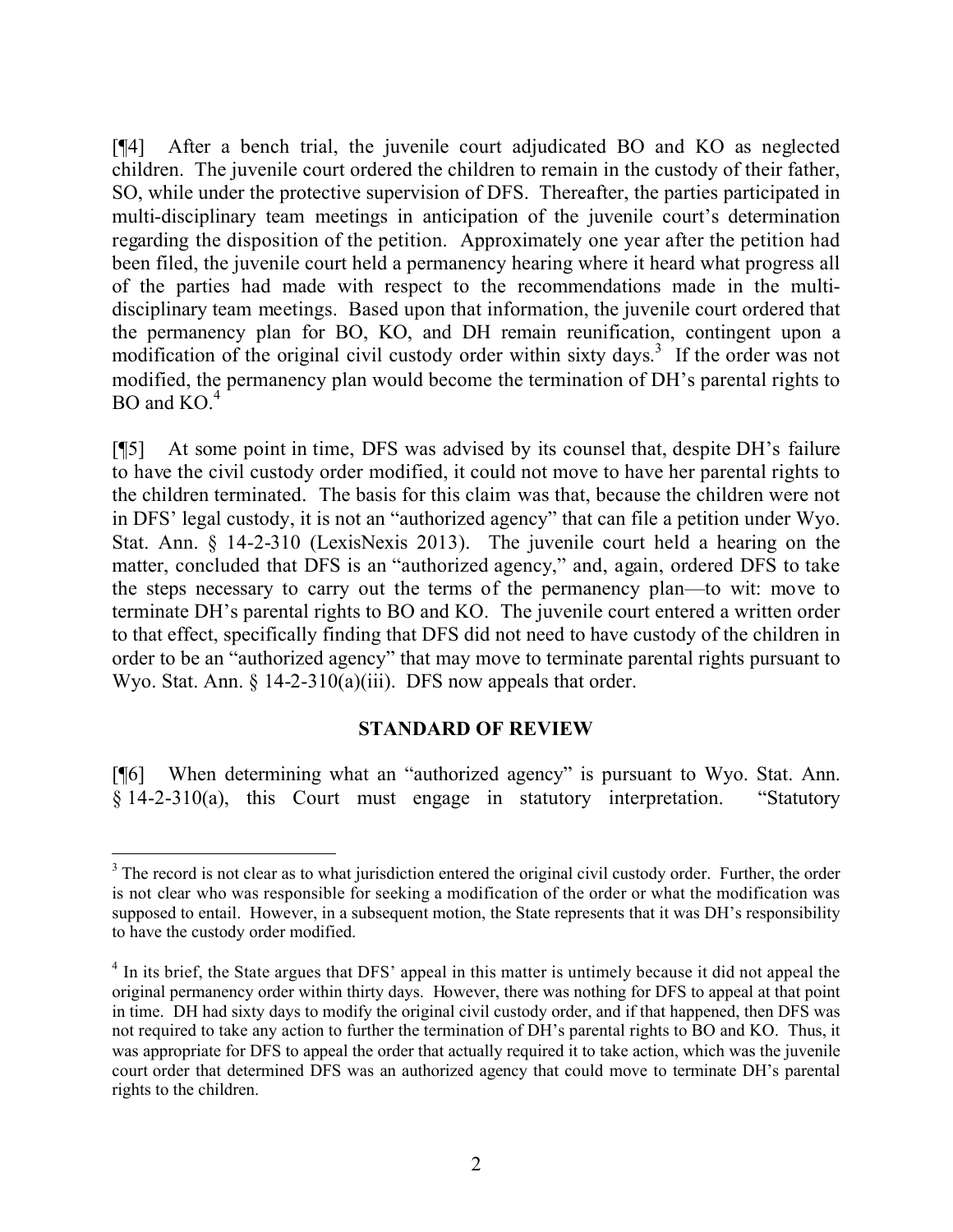[¶4] After a bench trial, the juvenile court adjudicated BO and KO as neglected children. The juvenile court ordered the children to remain in the custody of their father, SO, while under the protective supervision of DFS. Thereafter, the parties participated in multi-disciplinary team meetings in anticipation of the juvenile court's determination regarding the disposition of the petition. Approximately one year after the petition had been filed, the juvenile court held a permanency hearing where it heard what progress all of the parties had made with respect to the recommendations made in the multidisciplinary team meetings. Based upon that information, the juvenile court ordered that the permanency plan for BO, KO, and DH remain reunification, contingent upon a modification of the original civil custody order within sixty days. 3 If the order was not modified, the permanency plan would become the termination of DH's parental rights to BO and  $KO<sup>4</sup>$ 

[¶5] At some point in time, DFS was advised by its counsel that, despite DH's failure to have the civil custody order modified, it could not move to have her parental rights to the children terminated. The basis for this claim was that, because the children were not in DFS' legal custody, it is not an "authorized agency" that can file a petition under Wyo. Stat. Ann. § 14-2-310 (LexisNexis 2013). The juvenile court held a hearing on the matter, concluded that DFS is an "authorized agency," and, again, ordered DFS to take the steps necessary to carry out the terms of the permanency plan—to wit: move to terminate DH's parental rights to BO and KO. The juvenile court entered a written order to that effect, specifically finding that DFS did not need to have custody of the children in order to be an "authorized agency" that may move to terminate parental rights pursuant to Wyo. Stat. Ann.  $\S$  14-2-310(a)(iii). DFS now appeals that order.

#### **STANDARD OF REVIEW**

[¶6] When determining what an "authorized agency" is pursuant to Wyo. Stat. Ann. § 14-2-310(a), this Court must engage in statutory interpretation. "Statutory

 $\overline{a}$ 

<sup>&</sup>lt;sup>3</sup> The record is not clear as to what jurisdiction entered the original civil custody order. Further, the order is not clear who was responsible for seeking a modification of the order or what the modification was supposed to entail. However, in a subsequent motion, the State represents that it was DH's responsibility to have the custody order modified.

<sup>&</sup>lt;sup>4</sup> In its brief, the State argues that DFS' appeal in this matter is untimely because it did not appeal the original permanency order within thirty days. However, there was nothing for DFS to appeal at that point in time. DH had sixty days to modify the original civil custody order, and if that happened, then DFS was not required to take any action to further the termination of DH's parental rights to BO and KO. Thus, it was appropriate for DFS to appeal the order that actually required it to take action, which was the juvenile court order that determined DFS was an authorized agency that could move to terminate DH's parental rights to the children.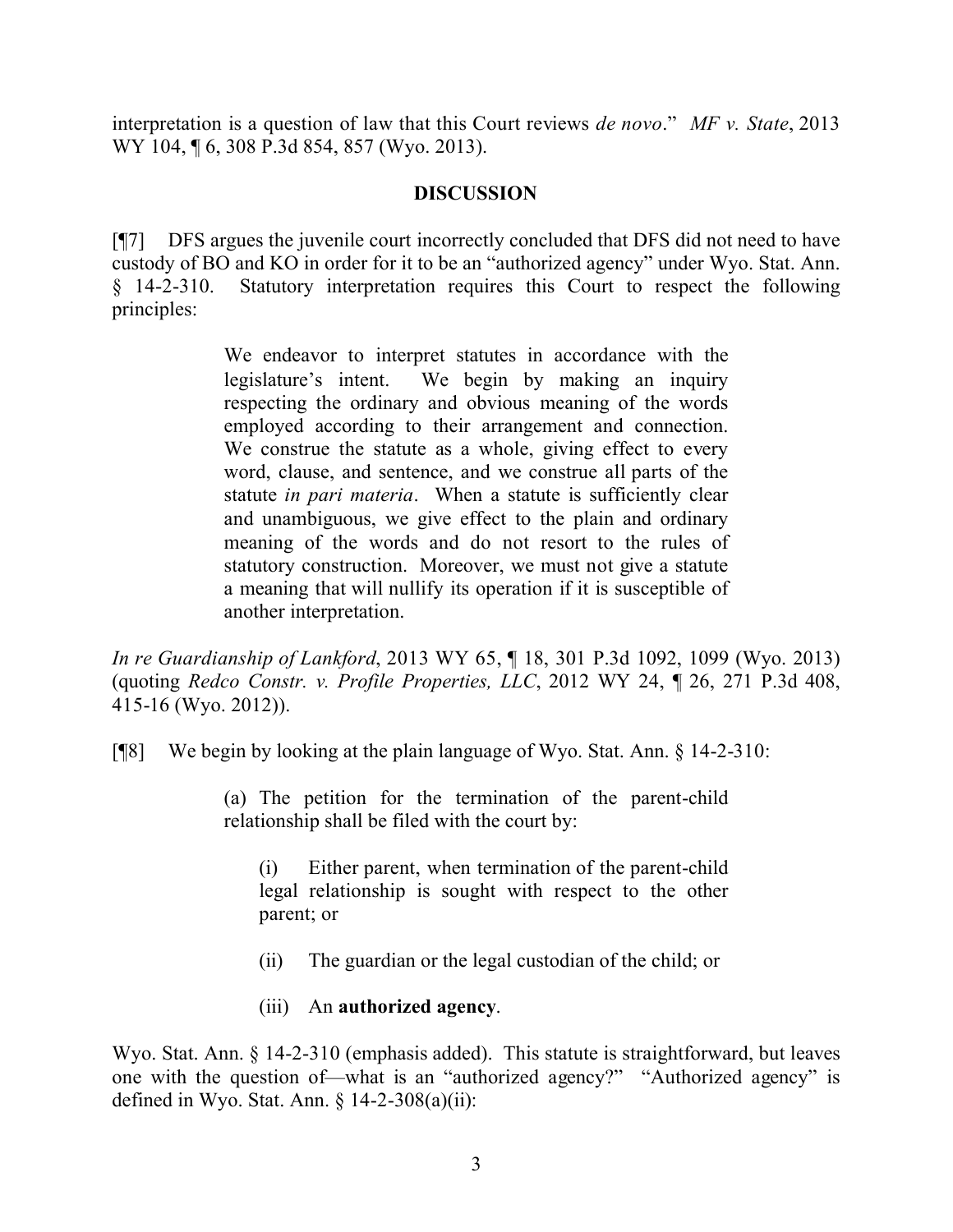interpretation is a question of law that this Court reviews *de novo*." *MF v. State*, 2013 WY 104, 106, 308 P.3d 854, 857 (Wyo. 2013).

# **DISCUSSION**

[¶7] DFS argues the juvenile court incorrectly concluded that DFS did not need to have custody of BO and KO in order for it to be an "authorized agency" under Wyo. Stat. Ann. § 14-2-310. Statutory interpretation requires this Court to respect the following principles:

> We endeavor to interpret statutes in accordance with the legislature's intent. We begin by making an inquiry respecting the ordinary and obvious meaning of the words employed according to their arrangement and connection. We construe the statute as a whole, giving effect to every word, clause, and sentence, and we construe all parts of the statute *in pari materia*. When a statute is sufficiently clear and unambiguous, we give effect to the plain and ordinary meaning of the words and do not resort to the rules of statutory construction. Moreover, we must not give a statute a meaning that will nullify its operation if it is susceptible of another interpretation.

*In re Guardianship of Lankford*, 2013 WY 65, ¶ 18, 301 P.3d 1092, 1099 (Wyo. 2013) (quoting *Redco Constr. v. Profile Properties, LLC*, 2012 WY 24, ¶ 26, 271 P.3d 408, 415-16 (Wyo. 2012)).

[¶8] We begin by looking at the plain language of Wyo. Stat. Ann. § 14-2-310:

(a) The petition for the termination of the parent-child relationship shall be filed with the court by:

(i) Either parent, when termination of the parent-child legal relationship is sought with respect to the other parent; or

- (ii) The guardian or the legal custodian of the child; or
- (iii) An **authorized agency**.

Wyo. Stat. Ann. § 14-2-310 (emphasis added). This statute is straightforward, but leaves one with the question of—what is an "authorized agency?" "Authorized agency" is defined in Wyo. Stat. Ann.  $\S$  14-2-308(a)(ii):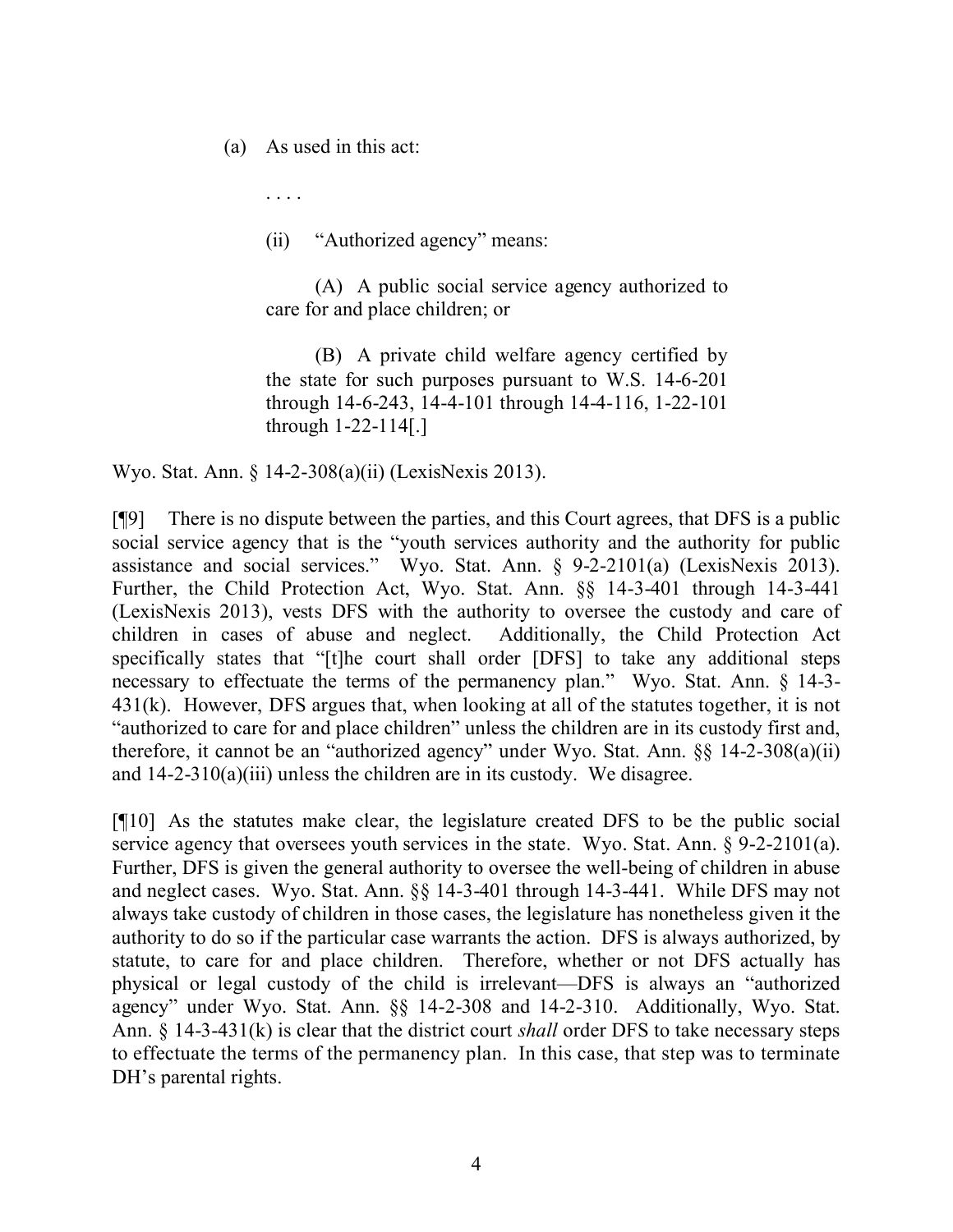(a) As used in this act:

. . . .

(ii) "Authorized agency" means:

(A) A public social service agency authorized to care for and place children; or

(B) A private child welfare agency certified by the state for such purposes pursuant to W.S. 14-6-201 through 14-6-243, 14-4-101 through 14-4-116, 1-22-101 through 1-22-114[.]

Wyo. Stat. Ann. § 14-2-308(a)(ii) (LexisNexis 2013).

[¶9] There is no dispute between the parties, and this Court agrees, that DFS is a public social service agency that is the "youth services authority and the authority for public assistance and social services." Wyo. Stat. Ann. § 9-2-2101(a) (LexisNexis 2013). Further, the Child Protection Act, Wyo. Stat. Ann. §§ 14-3-401 through 14-3-441 (LexisNexis 2013), vests DFS with the authority to oversee the custody and care of children in cases of abuse and neglect. Additionally, the Child Protection Act specifically states that "[t]he court shall order [DFS] to take any additional steps necessary to effectuate the terms of the permanency plan." Wyo. Stat. Ann. § 14-3- 431(k). However, DFS argues that, when looking at all of the statutes together, it is not "authorized to care for and place children" unless the children are in its custody first and, therefore, it cannot be an "authorized agency" under Wyo. Stat. Ann. §§ 14-2-308(a)(ii) and  $14-2-310(a)(iii)$  unless the children are in its custody. We disagree.

[¶10] As the statutes make clear, the legislature created DFS to be the public social service agency that oversees youth services in the state. Wyo. Stat. Ann. § 9-2-2101(a). Further, DFS is given the general authority to oversee the well-being of children in abuse and neglect cases. Wyo. Stat. Ann. §§ 14-3-401 through 14-3-441. While DFS may not always take custody of children in those cases, the legislature has nonetheless given it the authority to do so if the particular case warrants the action. DFS is always authorized, by statute, to care for and place children. Therefore, whether or not DFS actually has physical or legal custody of the child is irrelevant—DFS is always an "authorized agency" under Wyo. Stat. Ann. §§ 14-2-308 and 14-2-310. Additionally, Wyo. Stat. Ann. § 14-3-431(k) is clear that the district court *shall* order DFS to take necessary steps to effectuate the terms of the permanency plan. In this case, that step was to terminate DH's parental rights.